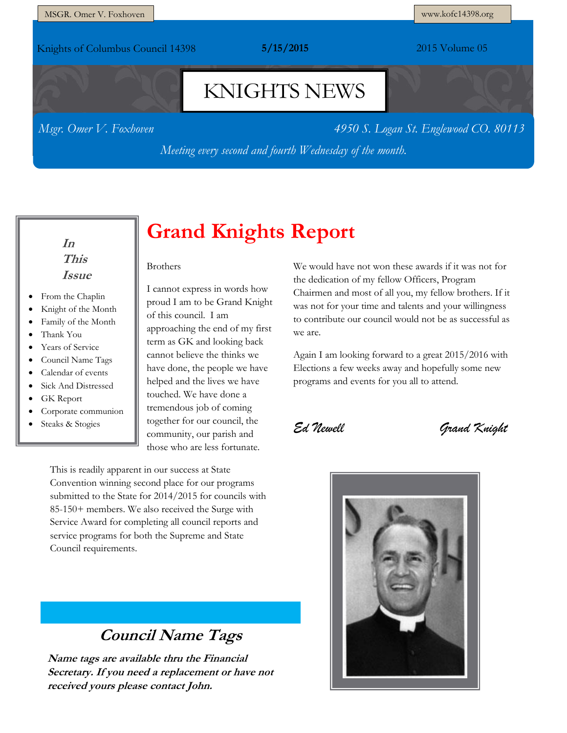Knights of Columbus Council 14398 **5/15/2015** 2015 Volume 05

# KNIGHTS NEWS

*Msgr. Omer V. Foxhoven 4950 S. Logan St. Englewood CO. 80113*

*Meeting every second and fourth Wednesday of the month.*

### **In This Issue**

- From the Chaplin
- Knight of the Month
- Family of the Month
- Thank You
- Years of Service
- Council Name Tags
- Calendar of events
- Sick And Distressed
- GK Report
- Corporate communion
- Steaks & Stogies

# **Grand Knights Report**

Brothers

I cannot express in words how proud I am to be Grand Knight of this council. I am approaching the end of my first term as GK and looking back cannot believe the thinks we have done, the people we have helped and the lives we have touched. We have done a tremendous job of coming together for our council, the community, our parish and those who are less fortunate.

This is readily apparent in our success at State Convention winning second place for our programs submitted to the State for 2014/2015 for councils with 85-150+ members. We also received the Surge with Service Award for completing all council reports and service programs for both the Supreme and State Council requirements.

### **Council Name Tags**

**Name tags are available thru the Financial Secretary. If you need a replacement or have not received yours please contact John.**

We would have not won these awards if it was not for the dedication of my fellow Officers, Program Chairmen and most of all you, my fellow brothers. If it was not for your time and talents and your willingness to contribute our council would not be as successful as we are.

Again I am looking forward to a great 2015/2016 with Elections a few weeks away and hopefully some new programs and events for you all to attend.

*Ed Newell Grand Knight*

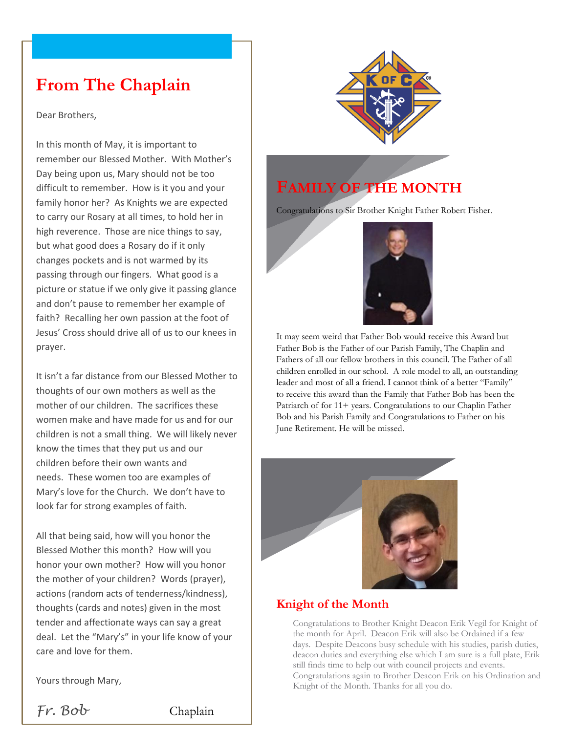## **From The Chaplain**

Dear Brothers,

In this month of May, it is important to remember our Blessed Mother. With Mother's Day being upon us, Mary should not be too difficult to remember. How is it you and your family honor her? As Knights we are expected to carry our Rosary at all times, to hold her in high reverence. Those are nice things to say, but what good does a Rosary do if it only changes pockets and is not warmed by its passing through our fingers. What good is a picture or statue if we only give it passing glance and don't pause to remember her example of faith? Recalling her own passion at the foot of Jesus' Cross should drive all of us to our knees in prayer.

It isn't a far distance from our Blessed Mother to thoughts of our own mothers as well as the mother of our children. The sacrifices these women make and have made for us and for our children is not a small thing. We will likely never know the times that they put us and our children before their own wants and needs. These women too are examples of Mary's love for the Church. We don't have to look far for strong examples of faith.

All that being said, how will you honor the Blessed Mother this month? How will you honor your own mother? How will you honor the mother of your children? Words (prayer), actions (random acts of tenderness/kindness), thoughts (cards and notes) given in the most tender and affectionate ways can say a great deal. Let the "Mary's" in your life know of your care and love for them.

Yours through Mary,

*Fr. Bob* Chaplain



### **FAMILY OF THE MONTH**

Congratulations to Sir Brother Knight Father Robert Fisher.



It may seem weird that Father Bob would receive this Award but Father Bob is the Father of our Parish Family, The Chaplin and Fathers of all our fellow brothers in this council. The Father of all children enrolled in our school. A role model to all, an outstanding leader and most of all a friend. I cannot think of a better "Family" to receive this award than the Family that Father Bob has been the Patriarch of for 11+ years. Congratulations to our Chaplin Father Bob and his Parish Family and Congratulations to Father on his June Retirement. He will be missed.



#### **Knight of the Month**

Congratulations to Brother Knight Deacon Erik Vegil for Knight of the month for April. Deacon Erik will also be Ordained if a few days. Despite Deacons busy schedule with his studies, parish duties, deacon duties and everything else which I am sure is a full plate, Erik still finds time to help out with council projects and events. Congratulations again to Brother Deacon Erik on his Ordination and Knight of the Month. Thanks for all you do.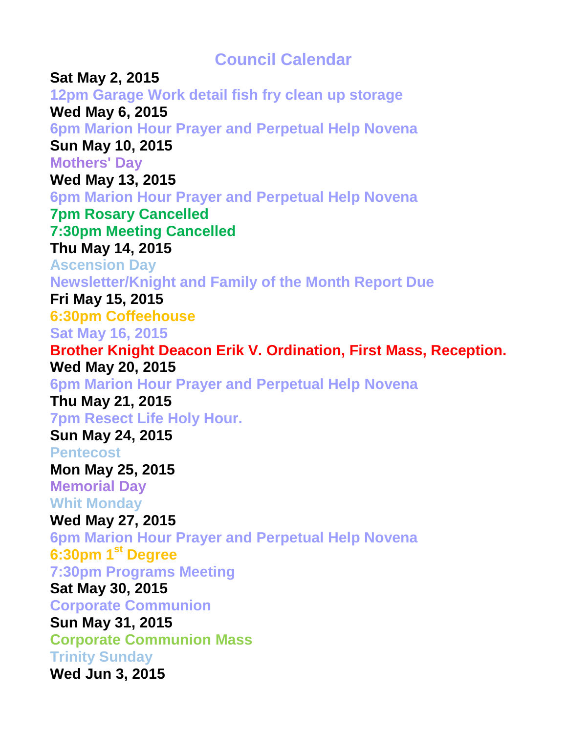**Council Calendar**

**Sat May 2, 2015 12pm Garage Work detail fish fry clean up storage Wed May 6, 2015 6pm Marion Hour Prayer and Perpetual Help Novena Sun May 10, 2015 Mothers' Day Wed May 13, 2015 6pm Marion Hour Prayer and Perpetual Help Novena 7pm Rosary Cancelled 7:30pm Meeting Cancelled Thu May 14, 2015 Ascension Day Newsletter/Knight and Family of the Month Report Due Fri May 15, 2015 6:30pm Coffeehouse Sat May 16, 2015 Brother Knight Deacon Erik V. Ordination, First Mass, Reception. Wed May 20, 2015 6pm Marion Hour Prayer and Perpetual Help Novena Thu May 21, 2015 7pm Resect Life Holy Hour. Sun May 24, 2015 Pentecost Mon May 25, 2015 Memorial Day Whit Monday Wed May 27, 2015 6pm Marion Hour Prayer and Perpetual Help Novena 6:30pm 1st Degree 7:30pm Programs Meeting Sat May 30, 2015 Corporate Communion Sun May 31, 2015 Corporate Communion Mass Trinity Sunday Wed Jun 3, 2015**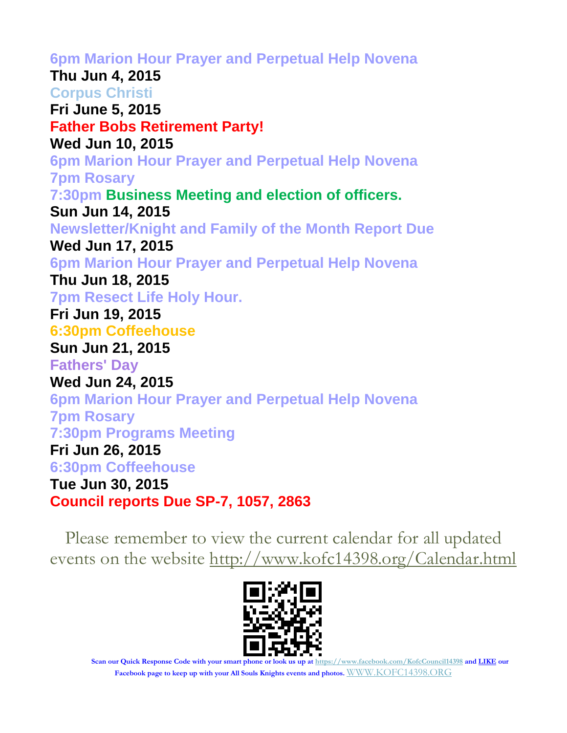**6pm Marion Hour Prayer and Perpetual Help Novena Thu Jun 4, 2015 Corpus Christi Fri June 5, 2015 Father Bobs Retirement Party! Wed Jun 10, 2015 6pm Marion Hour Prayer and Perpetual Help Novena 7pm Rosary 7:30pm Business Meeting and election of officers. Sun Jun 14, 2015 Newsletter/Knight and Family of the Month Report Due Wed Jun 17, 2015 6pm Marion Hour Prayer and Perpetual Help Novena Thu Jun 18, 2015 7pm Resect Life Holy Hour. Fri Jun 19, 2015 6:30pm Coffeehouse Sun Jun 21, 2015 Fathers' Day Wed Jun 24, 2015 6pm Marion Hour Prayer and Perpetual Help Novena 7pm Rosary 7:30pm Programs Meeting Fri Jun 26, 2015 6:30pm Coffeehouse Tue Jun 30, 2015 Council reports Due SP-7, 1057, 2863**

Please remember to view the current calendar for all updated events on the website<http://www.kofc14398.org/Calendar.html>



**Scan our Quick Response Code with your smart phone or look us up at <https://www.facebook.com/KofcCouncil14398> and LIKE our Facebook page to keep up with your All Souls Knights events and photos.** [WWW.KOFC14398.ORG](http://www.kofc14398.org/)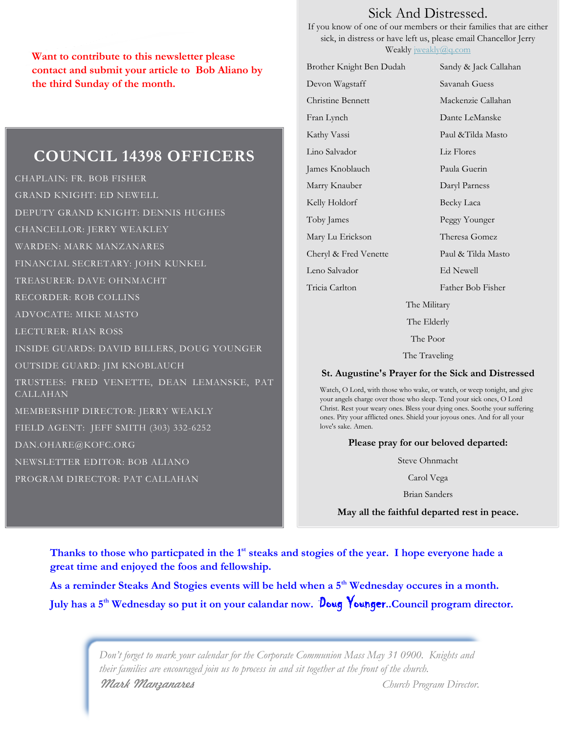**Want to contribute to this newsletter please contact and submit your article to Bob Aliano by the third Sunday of the month.**

### **COUNCIL 14398 OFFICERS**

CHAPLAIN: FR. BOB FISHER GRAND KNIGHT: ED NEWELL DEPUTY GRAND KNIGHT: DENNIS HUGHES CHANCELLOR: JERRY WEAKLEY WARDEN: MARK MANZANARES FINANCIAL SECRETARY: JOHN KUNKEL TREASURER: DAVE OHNMACHT RECORDER: ROB COLLINS ADVOCATE: MIKE MASTO LECTURER: RIAN ROSS INSIDE GUARDS: DAVID BILLERS, DOUG YOUNGER OUTSIDE GUARD: JIM KNOBLAUCH TRUSTEES: FRED VENETTE, DEAN LEMANSKE, PAT CALLAHAN MEMBERSHIP DIRECTOR: JERRY WEAKLY FIELD AGENT: JEFF SMITH (303) 332-6252 DAN.OHARE@KOFC.ORG NEWSLETTER EDITOR: BOB ALIANO PROGRAM DIRECTOR: PAT CALLAHAN

### Sick And Distressed.

If you know of one of our members or their families that are either sick, in distress or have left us, please email Chancellor Jerry Weakly [jweakly@q.com](mailto:jweakly@q.com)

| Brother Knight Ben Dudah | Sandy & Jack Callahan |  |  |
|--------------------------|-----------------------|--|--|
| Devon Wagstaff           | Savanah Guess         |  |  |
| Christine Bennett        | Mackenzie Callahan    |  |  |
| Fran Lynch               | Dante LeManske        |  |  |
| Kathy Vassi              | Paul & Tilda Masto    |  |  |
| Lino Salvador            | Liz Flores            |  |  |
| James Knoblauch          | Paula Guerin          |  |  |
| Marry Knauber            | Daryl Parness         |  |  |
| Kelly Holdorf            | Becky Laca            |  |  |
| Toby James               | Peggy Younger         |  |  |
| Mary Lu Erickson         | Theresa Gomez         |  |  |
| Cheryl & Fred Venette    | Paul & Tilda Masto    |  |  |
| Leno Salvador            | Ed Newell             |  |  |
| Tricia Carlton           | Father Bob Fisher     |  |  |
| The Military             |                       |  |  |

The Elderly

The Poor

The Traveling

#### **St. Augustine's Prayer for the Sick and Distressed**

Watch, O Lord, with those who wake, or watch, or weep tonight, and give your angels charge over those who sleep. Tend your sick ones, O Lord Christ. Rest your weary ones. Bless your dying ones. Soothe your suffering ones. Pity your afflicted ones. Shield your joyous ones. And for all your love's sake. Amen.

#### **Please pray for our beloved departed:**

Steve Ohnmacht

Carol Vega

Brian Sanders

**May all the faithful departed rest in peace.**

**Thanks to those who particpated in the 1st steaks and stogies of the year. I hope everyone hade a great time and enjoyed the foos and fellowship.**

**As a reminder Steaks And Stogies events will be held when a 5th Wednesday occures in a month. July has a 5th Wednesday so put it on your calandar now.** Doug Younger**..Council program director.**

> *Don't forget to mark your calendar for the Corporate Communion Mass May 31 0900. Knights and their families are encouraged join us to process in and sit together at the front of the church. Mark Manzanares Church Program Director.*